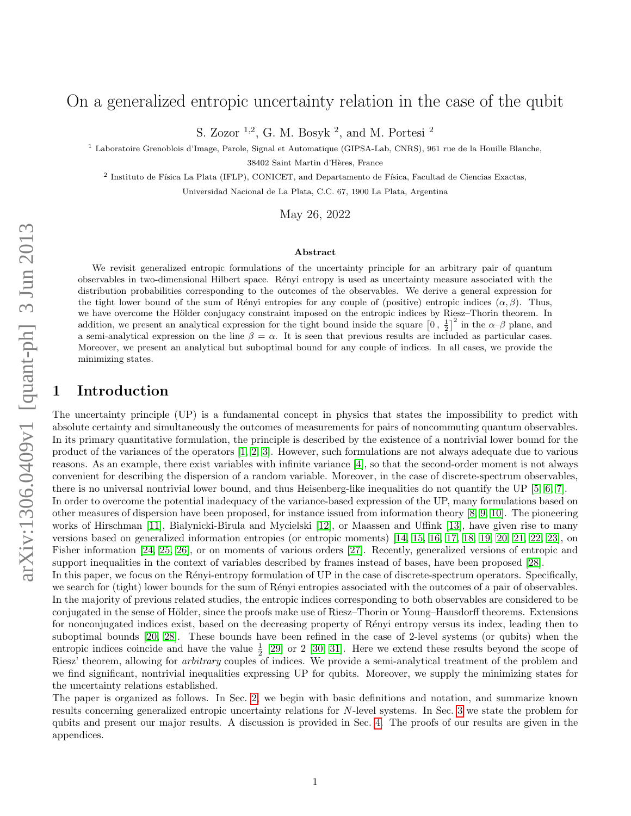# arXiv:1306.0409v1 [quant-ph] 3 Jun 2013 arXiv:1306.0409v1 [quant-ph] 3 Jun 2013

# On a generalized entropic uncertainty relation in the case of the qubit

S. Zozor  $^{1,2}$ , G. M. Bosyk  $^2$ , and M. Portesi  $^2$ 

<sup>1</sup> Laboratoire Grenoblois d'Image, Parole, Signal et Automatique (GIPSA-Lab, CNRS), 961 rue de la Houille Blanche,

38402 Saint Martin d'Hères, France

<sup>2</sup> Instituto de Física La Plata (IFLP), CONICET, and Departamento de Física, Facultad de Ciencias Exactas,

Universidad Nacional de La Plata, C.C. 67, 1900 La Plata, Argentina

May 26, 2022

#### Abstract

We revisit generalized entropic formulations of the uncertainty principle for an arbitrary pair of quantum observables in two-dimensional Hilbert space. R´enyi entropy is used as uncertainty measure associated with the distribution probabilities corresponding to the outcomes of the observables. We derive a general expression for the tight lower bound of the sum of Rényi entropies for any couple of (positive) entropic indices  $(\alpha, \beta)$ . Thus, we have overcome the Hölder conjugacy constraint imposed on the entropic indices by Riesz–Thorin theorem. In addition, we present an analytical expression for the tight bound inside the square  $\left[0, \frac{1}{2}\right]^2$  in the  $\alpha-\beta$  plane, and a semi-analytical expression on the line  $\beta = \alpha$ . It is seen that previous results are included as particular cases. Moreover, we present an analytical but suboptimal bound for any couple of indices. In all cases, we provide the minimizing states.

# 1 Introduction

The uncertainty principle (UP) is a fundamental concept in physics that states the impossibility to predict with absolute certainty and simultaneously the outcomes of measurements for pairs of noncommuting quantum observables. In its primary quantitative formulation, the principle is described by the existence of a nontrivial lower bound for the product of the variances of the operators [\[1,](#page-11-0) [2,](#page-11-1) [3\]](#page-11-2). However, such formulations are not always adequate due to various reasons. As an example, there exist variables with infinite variance [\[4\]](#page-11-3), so that the second-order moment is not always convenient for describing the dispersion of a random variable. Moreover, in the case of discrete-spectrum observables, there is no universal nontrivial lower bound, and thus Heisenberg-like inequalities do not quantify the UP [\[5,](#page-12-0) [6,](#page-12-1) [7\]](#page-12-2).

In order to overcome the potential inadequacy of the variance-based expression of the UP, many formulations based on other measures of dispersion have been proposed, for instance issued from information theory [\[8,](#page-12-3) [9,](#page-12-4) [10\]](#page-12-5). The pioneering works of Hirschman [\[11\]](#page-12-6), Bialynicki-Birula and Mycielski [\[12\]](#page-12-7), or Maassen and Uffink [\[13\]](#page-12-8), have given rise to many versions based on generalized information entropies (or entropic moments) [\[14,](#page-12-9) [15,](#page-12-10) [16,](#page-12-11) [17,](#page-12-12) [18,](#page-12-13) [19,](#page-12-14) [20,](#page-12-15) [21,](#page-12-16) [22,](#page-13-0) [23\]](#page-13-1), on Fisher information [\[24,](#page-13-2) [25,](#page-13-3) [26\]](#page-13-4), or on moments of various orders [\[27\]](#page-13-5). Recently, generalized versions of entropic and support inequalities in the context of variables described by frames instead of bases, have been proposed [\[28\]](#page-13-6).

In this paper, we focus on the Rényi-entropy formulation of UP in the case of discrete-spectrum operators. Specifically, we search for (tight) lower bounds for the sum of Rényi entropies associated with the outcomes of a pair of observables. In the majority of previous related studies, the entropic indices corresponding to both observables are considered to be conjugated in the sense of Hölder, since the proofs make use of Riesz–Thorin or Young–Hausdorff theorems. Extensions for nonconjugated indices exist, based on the decreasing property of R´enyi entropy versus its index, leading then to suboptimal bounds [\[20,](#page-12-15) [28\]](#page-13-6). These bounds have been refined in the case of 2-level systems (or qubits) when the entropic indices coincide and have the value  $\frac{1}{2}$  [\[29\]](#page-13-7) or 2 [\[30,](#page-13-8) [31\]](#page-13-9). Here we extend these results beyond the scope of Riesz' theorem, allowing for arbitrary couples of indices. We provide a semi-analytical treatment of the problem and we find significant, nontrivial inequalities expressing UP for qubits. Moreover, we supply the minimizing states for the uncertainty relations established.

The paper is organized as follows. In Sec. [2,](#page-1-0) we begin with basic definitions and notation, and summarize known results concerning generalized entropic uncertainty relations for N-level systems. In Sec. [3](#page-2-0) we state the problem for qubits and present our major results. A discussion is provided in Sec. [4.](#page-5-0) The proofs of our results are given in the appendices.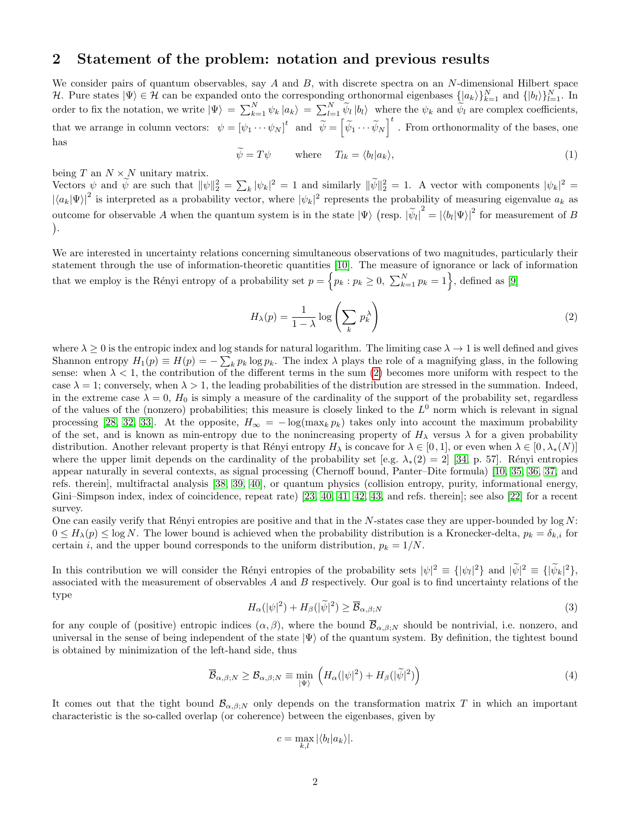# <span id="page-1-0"></span>2 Statement of the problem: notation and previous results

We consider pairs of quantum observables, say  $A$  and  $B$ , with discrete spectra on an  $N$ -dimensional Hilbert space H. Pure states  $|\Psi\rangle \in \mathcal{H}$  can be expanded onto the corresponding orthonormal eigenbases  $\{|a_k\rangle\}_{k=1}^N$  and  $\{|b_l\rangle\}_{l=1}^N$ . In order to fix the notation, we write  $|\Psi\rangle = \sum_{k=1}^{N} \psi_k |a_k\rangle = \sum_{l=1}^{N} \widetilde{\psi}_l |b_l\rangle$  where the  $\psi_k$  and  $\widetilde{\psi}_l$  are complex coefficients, that we arrange in column vectors:  $\psi = [\psi_1 \cdots \psi_N]^t$  and  $\widetilde{\psi} = [\widetilde{\psi}_1 \cdots \widetilde{\psi}_N]^t$ . From orthonormality of the bases, one has

<span id="page-1-2"></span>
$$
\psi = T\psi \qquad \text{where} \quad T_{lk} = \langle b_l | a_k \rangle,
$$
\n(1)

being  $T$  an  $N \times N$  unitary matrix.

Vectors  $\psi$  and  $\tilde{\psi}$  are such that  $\|\psi\|_2^2 = \sum_k |\psi_k|^2 = 1$  and similarly  $\|\tilde{\psi}\|_2^2 = 1$ . A vector with components  $|\psi_k|^2 =$  $|\langle a_k|\Psi\rangle|^2$  is interpreted as a probability vector, where  $|\psi_k|^2$  represents the probability of measuring eigenvalue  $a_k$  as outcome for observable A when the quantum system is in the state  $|\Psi\rangle$  (resp.  $|\widetilde{\psi}_l|^2 = |\langle b_l | \Psi \rangle|^2$  for measurement of B .

We are interested in uncertainty relations concerning simultaneous observations of two magnitudes, particularly their statement through the use of information-theoretic quantities [\[10\]](#page-12-5). The measure of ignorance or lack of information that we employ is the Rényi entropy of a probability set  $p = \{p_k : p_k \ge 0, \sum_{k=1}^N p_k = 1\}$ , defined as [\[9\]](#page-12-4)

<span id="page-1-1"></span>
$$
H_{\lambda}(p) = \frac{1}{1 - \lambda} \log \left( \sum_{k} p_{k}^{\lambda} \right)
$$
 (2)

where  $\lambda \geq 0$  is the entropic index and log stands for natural logarithm. The limiting case  $\lambda \to 1$  is well defined and gives Shannon entropy  $H_1(p) \equiv H(p) = -\sum_k p_k \log p_k$ . The index  $\lambda$  plays the role of a magnifying glass, in the following sense: when  $\lambda < 1$ , the contribution of the different terms in the sum [\(2\)](#page-1-1) becomes more uniform with respect to the case  $\lambda = 1$ ; conversely, when  $\lambda > 1$ , the leading probabilities of the distribution are stressed in the summation. Indeed, in the extreme case  $\lambda = 0$ ,  $H_0$  is simply a measure of the cardinality of the support of the probability set, regardless of the values of the (nonzero) probabilities; this measure is closely linked to the  $L^0$  norm which is relevant in signal processing [\[28,](#page-13-6) [32,](#page-13-10) [33\]](#page-13-11). At the opposite,  $H_{\infty} = -\log(\max_k p_k)$  takes only into account the maximum probability of the set, and is known as min-entropy due to the nonincreasing property of  $H_{\lambda}$  versus  $\lambda$  for a given probability distribution. Another relevant property is that Rényi entropy  $H_\lambda$  is concave for  $\lambda \in [0, 1]$ , or even when  $\lambda \in [0, \lambda_*(N)]$ where the upper limit depends on the cardinality of the probability set [e.g.  $\lambda_*(2) = 2$ ] [\[34,](#page-13-12) p. 57]. Rényi entropies appear naturally in several contexts, as signal processing (Chernoff bound, Panter–Dite formula) [\[10,](#page-12-5) [35,](#page-13-13) [36,](#page-13-14) [37,](#page-13-15) and refs. therein], multifractal analysis [\[38,](#page-13-16) [39,](#page-13-17) [40\]](#page-13-18), or quantum physics (collision entropy, purity, informational energy, Gini–Simpson index, index of coincidence, repeat rate) [\[23,](#page-13-1) [40,](#page-13-18) [41,](#page-13-19) [42,](#page-13-20) [43,](#page-14-0) and refs. therein]; see also [\[22\]](#page-13-0) for a recent survey.

One can easily verify that Rényi entropies are positive and that in the N-states case they are upper-bounded by  $\log N$ :  $0 \leq H_{\lambda}(p) \leq \log N$ . The lower bound is achieved when the probability distribution is a Kronecker-delta,  $p_k = \delta_{k,i}$  for certain i, and the upper bound corresponds to the uniform distribution,  $p_k = 1/N$ .

In this contribution we will consider the Rényi entropies of the probability sets  $|\psi|^2 \equiv \{|\psi_l|^2\}$  and  $|\tilde{\psi}|^2 \equiv \{|\tilde{\psi}_k|^2\}$ , associated with the measurement of observables  $A$  and  $B$  respectively. Our goal is to find uncertainty relations of the type

$$
H_{\alpha}(|\psi|^2) + H_{\beta}(|\widetilde{\psi}|^2) \ge \overline{\mathcal{B}}_{\alpha,\beta,N} \tag{3}
$$

for any couple of (positive) entropic indices  $(\alpha, \beta)$ , where the bound  $\overline{B}_{\alpha,\beta,N}$  should be nontrivial, i.e. nonzero, and universal in the sense of being independent of the state  $|\Psi\rangle$  of the quantum system. By definition, the tightest bound is obtained by minimization of the left-hand side, thus

$$
\overline{\mathcal{B}}_{\alpha,\beta;N} \geq \mathcal{B}_{\alpha,\beta;N} \equiv \min_{|\Psi\rangle} \left( H_{\alpha} (|\psi|^2) + H_{\beta} (|\widetilde{\psi}|^2) \right)
$$
(4)

It comes out that the tight bound  $\mathcal{B}_{\alpha,\beta;N}$  only depends on the transformation matrix T in which an important characteristic is the so-called overlap (or coherence) between the eigenbases, given by

$$
c = \max_{k,l} |\langle b_l | a_k \rangle|.
$$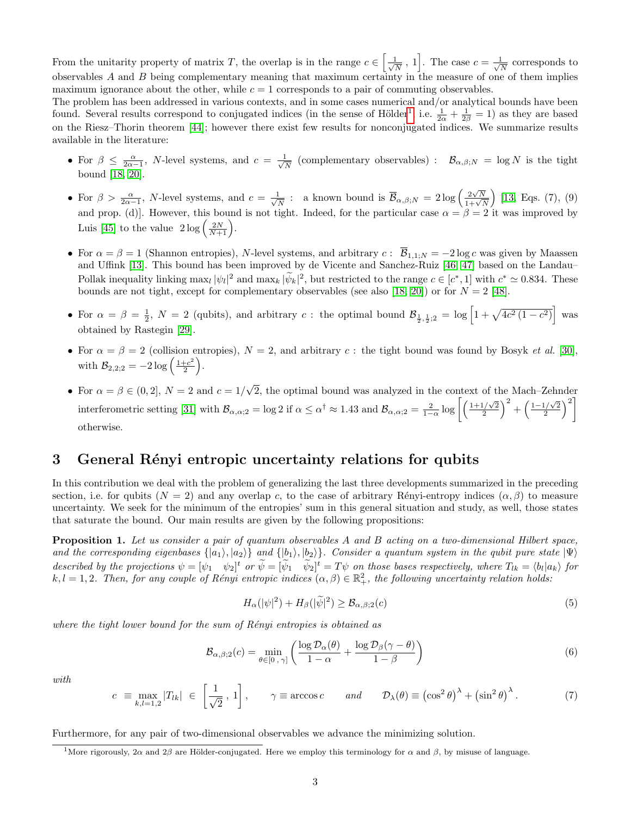From the unitarity property of matrix T, the overlap is in the range  $c \in \left[\frac{1}{\sqrt{2}}\right]$  $\frac{1}{N}$ , 1]. The case  $c = \frac{1}{\sqrt{l}}$  $\frac{1}{\overline{N}}$  corresponds to observables  $A$  and  $B$  being complementary meaning that maximum certainty in the measure of one of them implies maximum ignorance about the other, while  $c = 1$  corresponds to a pair of commuting observables.

The problem has been addressed in various contexts, and in some cases numerical and/or analytical bounds have been found. Several results correspond to conjugated indices (in the sense of Hölder<sup>[1](#page-2-1)</sup>, i.e.  $\frac{1}{2\alpha} + \frac{1}{2\beta} = 1$ ) as they are based on the Riesz–Thorin theorem [\[44\]](#page-14-1); however there exist few results for nonconjugated indices. We summarize results available in the literature:

- For  $\beta \leq \frac{\alpha}{2\alpha-1}$ , N-level systems, and  $c = \frac{1}{\sqrt{l}}$  $\frac{1}{N}$  (complementary observables) :  $\mathcal{B}_{\alpha,\beta,N} = \log N$  is the tight bound [\[18,](#page-12-13) [20\]](#page-12-15).
- For  $\beta > \frac{\alpha}{2\alpha-1}$ , N-level systems, and  $c = \frac{1}{\sqrt{l}}$  $\frac{1}{N}$  : a known bound is  $\overline{\mathcal{B}}_{\alpha,\beta;N} = 2 \log \left( \frac{2\sqrt{N}}{1+\sqrt{N}} \right)$  [\[13,](#page-12-8) Eqs. (7), (9) and prop. (d). However, this bound is not tight. Indeed, for the particular case  $\alpha = \beta = 2$  it was improved by Luis [\[45\]](#page-14-2) to the value  $2 \log \left( \frac{2N}{N+1} \right)$ .
- For  $\alpha = \beta = 1$  (Shannon entropies), N-level systems, and arbitrary  $c: \overline{B}_{1,1:N} = -2 \log c$  was given by Maassen and Uffink [\[13\]](#page-12-8). This bound has been improved by de Vicente and Sanchez-Ruiz [\[46,](#page-14-3) [47\]](#page-14-4) based on the Landau– Pollak inequality linking  $\max_{l} |\psi_l|^2$  and  $\max_{k} |\widetilde{\psi}_k|^2$ , but restricted to the range  $c \in [c^*, 1]$  with  $c^* \approx 0.834$ . These bounds are not tight, except for complementary observables (see also [\[18,](#page-12-13) [20\]](#page-12-15)) or for  $N = 2$  [\[48\]](#page-14-5).
- For  $\alpha = \beta = \frac{1}{2}$ ,  $N = 2$  (qubits), and arbitrary c: the optimal bound  $\mathcal{B}_{\frac{1}{2},\frac{1}{2};2} = \log \left[1 + \sqrt{4c^2(1-c^2)}\right]$  was obtained by Rastegin [\[29\]](#page-13-7).
- For  $\alpha = \beta = 2$  (collision entropies),  $N = 2$ , and arbitrary c : the tight bound was found by Bosyk *et al.* [\[30\]](#page-13-8), with  $\mathcal{B}_{2,2;2} = -2 \log \left( \frac{1+c^2}{2} \right)$  $\frac{+c^2}{2}\bigg).$
- For  $\alpha = \beta \in (0, 2]$ ,  $N = 2$  and  $c = 1/2$ √ 2, the optimal bound was analyzed in the context of the Mach–Zehnder interferometric setting [\[31\]](#page-13-9) with  $\mathcal{B}_{\alpha,\alpha;2} = \log 2$  if  $\alpha \leq \alpha^{\dagger} \approx 1.43$  and  $\mathcal{B}_{\alpha,\alpha;2} = \frac{2}{1-\alpha} \log \left[ \left( \frac{1+1/\sqrt{2}}{2} \right)^{\frac{1}{2}} \right]$  $\left(\frac{1/\sqrt{2}}{2}\right)^2 + \left(\frac{1-1/\sqrt{2}}{2}\right)$  $\left(\frac{1}{\sqrt{2}}\right)^2$ otherwise.

# <span id="page-2-0"></span>3 General Rényi entropic uncertainty relations for qubits

In this contribution we deal with the problem of generalizing the last three developments summarized in the preceding section, i.e. for qubits  $(N = 2)$  and any overlap c, to the case of arbitrary Rényi-entropy indices  $(\alpha, \beta)$  to measure uncertainty. We seek for the minimum of the entropies' sum in this general situation and study, as well, those states that saturate the bound. Our main results are given by the following propositions:

Proposition 1. Let us consider a pair of quantum observables A and B acting on a two-dimensional Hilbert space, and the corresponding eigenbases  $\{|a_1\rangle, |a_2\rangle\}$  and  $\{|b_1\rangle, |b_2\rangle\}$ . Consider a quantum system in the qubit pure state  $|\Psi\rangle$ described by the projections  $\psi = [\psi_1 \quad \psi_2]^t$  or  $\psi = [\psi_1 \quad \psi_2]^t = T\psi$  on those bases respectively, where  $T_{lk} = \langle b_l | a_k \rangle$  for  $k, l = 1, 2$ . Then, for any couple of Rényi entropic indices  $(\alpha, \beta) \in \mathbb{R}^2_+$ , the following uncertainty relation holds:

$$
H_{\alpha}(|\psi|^2) + H_{\beta}(|\widetilde{\psi}|^2) \ge \mathcal{B}_{\alpha,\beta;2}(c)
$$
\n<sup>(5)</sup>

where the tight lower bound for the sum of  $R\acute{e}nyi$  entropies is obtained as

<span id="page-2-3"></span>
$$
\mathcal{B}_{\alpha,\beta;2}(c) = \min_{\theta \in [0, \gamma]} \left( \frac{\log \mathcal{D}_{\alpha}(\theta)}{1 - \alpha} + \frac{\log \mathcal{D}_{\beta}(\gamma - \theta)}{1 - \beta} \right)
$$
(6)

with

<span id="page-2-2"></span>
$$
c \equiv \max_{k,l=1,2} |T_{lk}| \in \left[\frac{1}{\sqrt{2}}, 1\right], \qquad \gamma \equiv \arccos c \qquad and \qquad \mathcal{D}_{\lambda}(\theta) \equiv \left(\cos^2 \theta\right)^{\lambda} + \left(\sin^2 \theta\right)^{\lambda}.
$$
 (7)

Furthermore, for any pair of two-dimensional observables we advance the minimizing solution.

<span id="page-2-1"></span><sup>&</sup>lt;sup>1</sup>More rigorously,  $2\alpha$  and  $2\beta$  are Hölder-conjugated. Here we employ this terminology for  $\alpha$  and  $\beta$ , by misuse of language.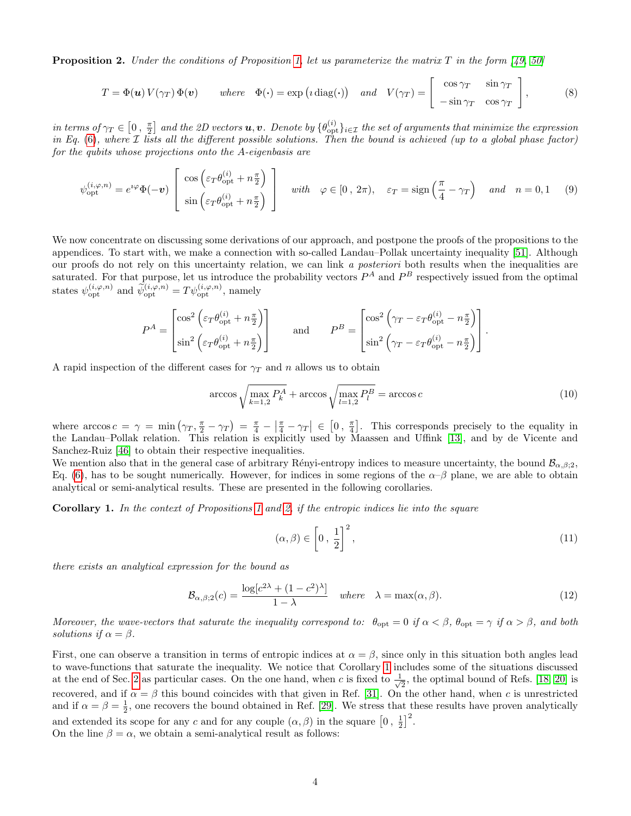**Proposition 2.** Under the conditions of Proposition [1,](#page-2-2) let us parameterize the matrix T in the form [\[49,](#page-14-6) [50\]](#page-14-7)

$$
T = \Phi(\mathbf{u}) V(\gamma_T) \Phi(\mathbf{v}) \qquad \text{where} \quad \Phi(\cdot) = \exp\left(i \operatorname{diag}(\cdot)\right) \quad \text{and} \quad V(\gamma_T) = \begin{bmatrix} \cos \gamma_T & \sin \gamma_T \\ -\sin \gamma_T & \cos \gamma_T \end{bmatrix}, \tag{8}
$$

in terms of  $\gamma_T \in \left[0\,,\,\frac{\pi}{2}\right]$  and the 2D vectors  $\bm u,\bm v$ . Denote by  $\{\theta_{\text{opt}}^{(i)}\}_{i\in\mathcal{I}}$  the set of arguments that minimize the expression in Eq.  $(6)$ , where I lists all the different possible solutions. Then the bound is achieved (up to a global phase factor) for the qubits whose projections onto the A-eigenbasis are

<span id="page-3-0"></span>
$$
\psi_{\text{opt}}^{(i,\varphi,n)} = e^{i\varphi}\Phi(-\mathbf{v}) \begin{bmatrix} \cos\left(\varepsilon_T\theta_{\text{opt}}^{(i)} + n\frac{\pi}{2}\right) \\ \sin\left(\varepsilon_T\theta_{\text{opt}}^{(i)} + n\frac{\pi}{2}\right) \end{bmatrix} \quad \text{with} \quad \varphi \in [0, 2\pi), \quad \varepsilon_T = \text{sign}\left(\frac{\pi}{4} - \gamma_T\right) \quad \text{and} \quad n = 0, 1 \quad (9)
$$

We now concentrate on discussing some derivations of our approach, and postpone the proofs of the propositions to the appendices. To start with, we make a connection with so-called Landau–Pollak uncertainty inequality [\[51\]](#page-14-8). Although our proofs do not rely on this uncertainty relation, we can link a posteriori both results when the inequalities are saturated. For that purpose, let us introduce the probability vectors  $P^A$  and  $P^B$  respectively issued from the optimal states  $\psi_{\text{opt}}^{(i,\varphi,n)}$  and  $\widetilde{\psi}_{\text{opt}}^{(i,\varphi,n)} = T \psi_{\text{opt}}^{(i,\varphi,n)}$ , namely

$$
P^{A} = \begin{bmatrix} \cos^{2} \left( \varepsilon_{T} \theta_{\text{opt}}^{(i)} + n \frac{\pi}{2} \right) \\ \sin^{2} \left( \varepsilon_{T} \theta_{\text{opt}}^{(i)} + n \frac{\pi}{2} \right) \end{bmatrix} \quad \text{and} \quad P^{B} = \begin{bmatrix} \cos^{2} \left( \gamma_{T} - \varepsilon_{T} \theta_{\text{opt}}^{(i)} - n \frac{\pi}{2} \right) \\ \sin^{2} \left( \gamma_{T} - \varepsilon_{T} \theta_{\text{opt}}^{(i)} - n \frac{\pi}{2} \right) \end{bmatrix}.
$$

A rapid inspection of the different cases for  $\gamma_T$  and n allows us to obtain

$$
\arccos\sqrt{\max_{k=1,2} P_k^A} + \arccos\sqrt{\max_{l=1,2} P_l^B} = \arccos c \tag{10}
$$

where  $\arccos c = \gamma = \min_{\gamma} (\gamma_T, \frac{\pi}{2} - \gamma_T) = \frac{\pi}{4} - |\frac{\pi}{4} - \gamma_T| \in [0, \frac{\pi}{4}]$ . This corresponds precisely to the equality in the Landau–Pollak relation. This relation is explicitly used by Maassen and Uffink [\[13\]](#page-12-8), and by de Vicente and Sanchez-Ruiz [\[46\]](#page-14-3) to obtain their respective inequalities.

We mention also that in the general case of arbitrary Rényi-entropy indices to measure uncertainty, the bound  $\mathcal{B}_{\alpha,\beta;2}$ , Eq. [\(6\)](#page-2-3), has to be sought numerically. However, for indices in some regions of the  $\alpha-\beta$  plane, we are able to obtain analytical or semi-analytical results. These are presented in the following corollaries.

Corollary 1. In the context of Propositions [1](#page-2-2) and [2,](#page-3-0) if the entropic indices lie into the square

$$
(\alpha, \beta) \in \left[0, \frac{1}{2}\right]^2,\tag{11}
$$

there exists an analytical expression for the bound as

<span id="page-3-1"></span>
$$
\mathcal{B}_{\alpha,\beta;2}(c) = \frac{\log[c^{2\lambda} + (1 - c^2)^{\lambda}]}{1 - \lambda} \quad where \quad \lambda = \max(\alpha,\beta). \tag{12}
$$

Moreover, the wave-vectors that saturate the inequality correspond to:  $\theta_{\rm opt} = 0$  if  $\alpha < \beta$ ,  $\theta_{\rm opt} = \gamma$  if  $\alpha > \beta$ , and both solutions if  $\alpha = \beta$ .

First, one can observe a transition in terms of entropic indices at  $\alpha = \beta$ , since only in this situation both angles lead to wave-functions that saturate the inequality. We notice that Corollary [1](#page-3-1) includes some of the situations discussed at the end of Sec. [2](#page-1-0) as particular cases. On the one hand, when c is fixed to  $\frac{1}{\sqrt{2}}$  $\frac{1}{2}$ , the optimal bound of Refs. [\[18,](#page-12-13) [20\]](#page-12-15) is recovered, and if  $\alpha = \beta$  this bound coincides with that given in Ref. [\[31\]](#page-13-9). On the other hand, when c is unrestricted and if  $\alpha = \beta = \frac{1}{2}$ , one recovers the bound obtained in Ref. [\[29\]](#page-13-7). We stress that these results have proven analytically and extended its scope for any c and for any couple  $(\alpha, \beta)$  in the square  $\left[0, \frac{1}{2}\right]^2$ . On the line  $\beta = \alpha$ , we obtain a semi-analytical result as follows: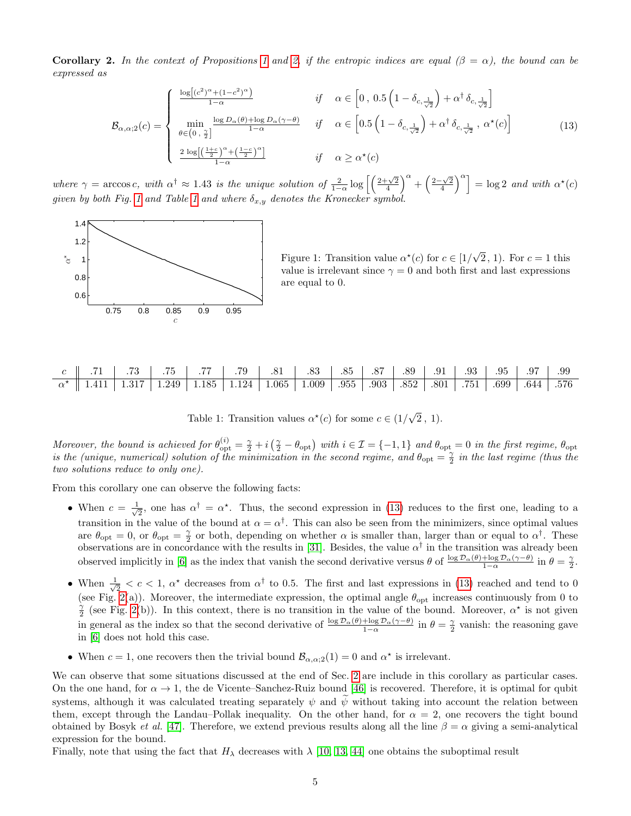**Corollary 2.** In the context of Propositions [1](#page-2-2) and [2,](#page-3-0) if the entropic indices are equal ( $\beta = \alpha$ ), the bound can be expressed as

<span id="page-4-2"></span>
$$
\mathcal{B}_{\alpha,\alpha;2}(c) = \begin{cases}\n\frac{\log[(c^2)^{\alpha} + (1 - c^2)^{\alpha}]}{1 - \alpha} & \text{if } \alpha \in [0, 0.5 \left(1 - \delta_{c, \frac{1}{\sqrt{2}}}\right) + \alpha^{\dagger} \delta_{c, \frac{1}{\sqrt{2}}}\n\end{cases}
$$
\n
$$
\mathcal{B}_{\alpha,\alpha;2}(c) = \begin{cases}\n\frac{\log[\alpha(\theta) + \log D_{\alpha}(\gamma - \theta)]}{1 - \alpha} & \text{if } \alpha \in [0.5 \left(1 - \delta_{c, \frac{1}{\sqrt{2}}}\right) + \alpha^{\dagger} \delta_{c, \frac{1}{\sqrt{2}}}, \alpha^{\star}(c)\n\end{cases}
$$
\n
$$
\frac{2 \log\left(\frac{1 + c}{2}\right)^{\alpha} + \left(\frac{1 - c}{2}\right)^{\alpha}}{1 - \alpha} & \text{if } \alpha \geq \alpha^{\star}(c)
$$
\n(13)

where  $\gamma = \arccos c$ , with  $\alpha^{\dagger} \approx 1.43$  is the unique solution of  $\frac{2}{1-\alpha} \log \left[ \left( \frac{2+\sqrt{2}}{4} \right)^{\alpha} + \left( \frac{2-\sqrt{2}}{4} \right)^{\alpha} \right] = \log 2$  and with  $\alpha^{\star}(c)$ given by both Fig. [1](#page-4-1) and Table 1 and where  $\delta_{x,y}$  denotes the Kronecker symbol.



<span id="page-4-0"></span>Figure 1: Transition value  $\alpha^*(c)$  for  $c \in [1]$ √  $(2, 1)$ . For  $c = 1$  this value is irrelevant since  $\gamma = 0$  and both first and last expressions are equal to 0.

| $c$ $\parallel$ $.71$ $\parallel$ $.73$ $\parallel$ $.75$ $\parallel$ $.77$ $\parallel$ $.79$ $\parallel$ $.83$ $\parallel$ $.85$ $\parallel$ $.87$ $\parallel$ $.89$ $\parallel$ $.99$ $\parallel$ $.93$ $\parallel$ $.95$ $\parallel$ $.97$ $\parallel$ $.99$ |  |  |  |  |  |  |  |
|-----------------------------------------------------------------------------------------------------------------------------------------------------------------------------------------------------------------------------------------------------------------|--|--|--|--|--|--|--|
| $\alpha^*$   1.411   1.317   1.249   1.185   1.124   1.065   1.009   .955   .903   .852   .801   .751   .699   .644   .576                                                                                                                                      |  |  |  |  |  |  |  |

<span id="page-4-1"></span>Table 1: Transition values  $\alpha^*(c)$  for some  $c \in (1/$ √  $2, 1).$ 

Moreover, the bound is achieved for  $\theta_{\text{opt}}^{(i)} = \frac{\gamma}{2} + i(\frac{\gamma}{2} - \theta_{\text{opt}})$  with  $i \in \mathcal{I} = \{-1,1\}$  and  $\theta_{\text{opt}} = 0$  in the first regime,  $\theta_{\text{opt}}$ is the (unique, numerical) solution of the minimization in the second regime, and  $\theta_{\rm opt} = \frac{\gamma}{2}$  in the last regime (thus the two solutions reduce to only one).

From this corollary one can observe the following facts:

- When  $c = \frac{1}{\sqrt{2}}$  $\frac{1}{2}$ , one has  $\alpha^{\dagger} = \alpha^*$ . Thus, the second expression in [\(13\)](#page-4-2) reduces to the first one, leading to a transition in the value of the bound at  $\alpha = \alpha^{\dagger}$ . This can also be seen from the minimizers, since optimal values are  $\theta_{\rm opt} = 0$ , or  $\theta_{\rm opt} = \frac{\gamma}{2}$  or both, depending on whether  $\alpha$  is smaller than, larger than or equal to  $\alpha^{\dagger}$ . These observations are in concordance with the results in [\[31\]](#page-13-9). Besides, the value  $\alpha^{\dagger}$  in the transition was already been observed implicitly in [\[6\]](#page-12-1) as the index that vanish the second derivative versus  $\theta$  of  $\frac{\log \mathcal{D}_{\alpha}(\theta) + \log \mathcal{D}_{\alpha}(\gamma - \theta)}{1 - \alpha}$  in  $\theta = \frac{\gamma}{2}$ .
- When  $\frac{1}{4}$  $\frac{1}{2} < c < 1$ ,  $\alpha^*$  decreases from  $\alpha^{\dagger}$  to 0.5. The first and last expressions in [\(13\)](#page-4-2) reached and tend to 0 (see Fig. [2\(](#page-5-1)a)). Moreover, the intermediate expression, the optimal angle  $\theta_{\text{opt}}$  increases continuously from 0 to  $\frac{\gamma}{2}$  (see Fig. 2(b)). In this context, there is no transition in the value of the bound. Moreover, in general as the index so that the second derivative of  $\frac{\log \mathcal{D}_{\alpha}(\theta) + \log \mathcal{D}_{\alpha}(\gamma-\theta)}{1-\alpha}$  in  $\theta = \frac{\gamma}{2}$  vanish: the reasoning gave in [\[6\]](#page-12-1) does not hold this case.
- When  $c = 1$ , one recovers then the trivial bound  $\mathcal{B}_{\alpha,\alpha;2}(1) = 0$  and  $\alpha^*$  is irrelevant.

We can observe that some situations discussed at the end of Sec. [2](#page-1-0) are include in this corollary as particular cases. On the one hand, for  $\alpha \to 1$ , the de Vicente–Sanchez-Ruiz bound [\[46\]](#page-14-3) is recovered. Therefore, it is optimal for qubit systems, although it was calculated treating separately  $\psi$  and  $\bar{\psi}$  without taking into account the relation between them, except through the Landau–Pollak inequality. On the other hand, for  $\alpha = 2$ , one recovers the tight bound obtained by Bosyk et al. [\[47\]](#page-14-4). Therefore, we extend previous results along all the line  $\beta = \alpha$  giving a semi-analytical expression for the bound.

Finally, note that using the fact that  $H_{\lambda}$  decreases with  $\lambda$  [\[10,](#page-12-5) [13,](#page-12-8) [44\]](#page-14-1) one obtains the suboptimal result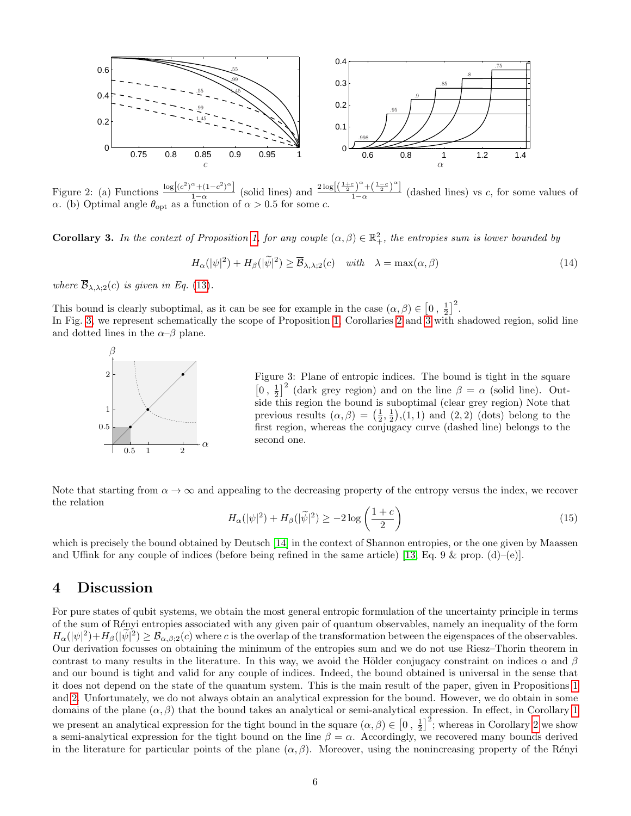

<span id="page-5-1"></span>Figure 2: (a) Functions  $\frac{\log[(c^2)^{\alpha}+(1-c^2)^{\alpha}]}{1-\alpha}$  $\frac{\alpha + (1 - c^2)^{\alpha}}{1 - \alpha}$  (solid lines) and  $\frac{2 \log \left[\left(\frac{1+c}{2}\right)^{\alpha} + \left(\frac{1-c}{2}\right)^{\alpha}\right]}{1 - \alpha}$ Figure 2. (a) Functions  $\frac{1-\alpha}{1-\alpha}$  (solid lines) and  $\alpha$ .<br>
(b) Optimal angle  $\theta_{\text{opt}}$  as a function of  $\alpha > 0.5$  for some c. (dashed lines) vs c, for some values of

**Corollary 3.** In the context of Proposition [1,](#page-2-2) for any couple  $(\alpha, \beta) \in \mathbb{R}^2_+$ , the entropies sum is lower bounded by

<span id="page-5-3"></span>
$$
H_{\alpha}(|\psi|^{2}) + H_{\beta}(|\widetilde{\psi}|^{2}) \ge \overline{\mathcal{B}}_{\lambda,\lambda;2}(c) \quad \text{with} \quad \lambda = \max(\alpha,\beta)
$$
\n<sup>(14)</sup>

where  $\overline{\mathcal{B}}_{\lambda,\lambda;2}(c)$  is given in Eq. [\(13\)](#page-4-2).

This bound is clearly suboptimal, as it can be see for example in the case  $(\alpha, \beta) \in [0, \frac{1}{2}]^2$ . In Fig. [3,](#page-5-2) we represent schematically the scope of Proposition [1,](#page-3-1) Corollaries [2](#page-4-1) and [3](#page-5-3) with shadowed region, solid line and dotted lines in the  $\alpha-\beta$  plane.



<span id="page-5-2"></span>Figure 3: Plane of entropic indices. The bound is tight in the square  $\left[0, \frac{1}{2}\right]^2$  (dark grey region) and on the line  $\beta = \alpha$  (solid line). Outside this region the bound is suboptimal (clear grey region) Note that previous results  $(\alpha, \beta) = \left(\frac{1}{2}, \frac{1}{2}\right), (1, 1)$  and  $(2, 2)$  (dots) belong to the first region, whereas the conjugacy curve (dashed line) belongs to the second one.

Note that starting from  $\alpha \to \infty$  and appealing to the decreasing property of the entropy versus the index, we recover the relation

$$
H_{\alpha}(|\psi|^2) + H_{\beta}(|\widetilde{\psi}|^2) \ge -2\log\left(\frac{1+c}{2}\right)
$$
\n(15)

which is precisely the bound obtained by Deutsch [\[14\]](#page-12-9) in the context of Shannon entropies, or the one given by Maassen and Uffink for any couple of indices (before being refined in the same article) [\[13,](#page-12-8) Eq. 9 & prop. (d)–(e)].

# <span id="page-5-0"></span>4 Discussion

For pure states of qubit systems, we obtain the most general entropic formulation of the uncertainty principle in terms of the sum of R´enyi entropies associated with any given pair of quantum observables, namely an inequality of the form  $H_{\alpha}(|\psi|^2) + H_{\beta}(|\widetilde{\psi}|^2) \geq \mathcal{B}_{\alpha,\beta,2}(c)$  where c is the overlap of the transformation between the eigenspaces of the observables. Our derivation focusses on obtaining the minimum of the entropies sum and we do not use Riesz–Thorin theorem in contrast to many results in the literature. In this way, we avoid the Hölder conjugacy constraint on indices  $\alpha$  and  $\beta$ and our bound is tight and valid for any couple of indices. Indeed, the bound obtained is universal in the sense that it does not depend on the state of the quantum system. This is the main result of the paper, given in Propositions [1](#page-2-2) and [2.](#page-3-0) Unfortunately, we do not always obtain an analytical expression for the bound. However, we do obtain in some domains of the plane  $(\alpha, \beta)$  that the bound takes an analytical or semi-analytical expression. In effect, in Corollary [1](#page-3-1) we present an analytical expression for the tight bound in the square  $(\alpha, \beta) \in [0, \frac{1}{2}]^2$ ; whereas in Corollary [2](#page-4-1) we show a semi-analytical expression for the tight bound on the line  $\beta = \alpha$ . Accordingly, we recovered many bounds derived in the literature for particular points of the plane  $(\alpha, \beta)$ . Moreover, using the nonincreasing property of the Rényi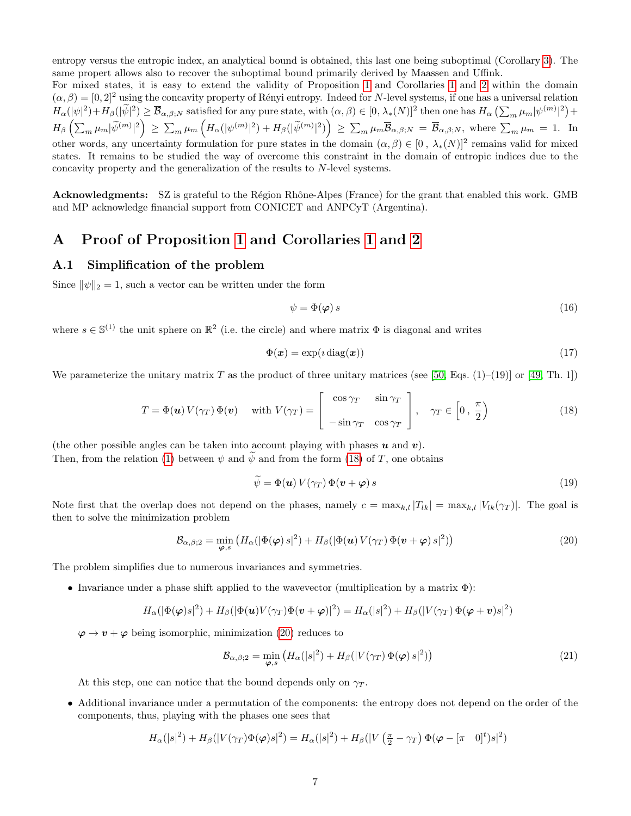entropy versus the entropic index, an analytical bound is obtained, this last one being suboptimal (Corollary [3\)](#page-5-3). The same propert allows also to recover the suboptimal bound primarily derived by Maassen and Uffink.

For mixed states, it is easy to extend the validity of Proposition [1](#page-2-2) and Corollaries [1](#page-3-1) and [2](#page-4-1) within the domain  $(\alpha, \beta) = [0, 2]^2$  using the concavity property of Rényi entropy. Indeed for N-level systems, if one has a universal relation  $H_{\alpha}(|\psi|^2) + H_{\beta}(|\tilde{\psi}|^2) \ge \overline{\mathcal{B}}_{\alpha,\beta,N}$  satisfied for any pure state, with  $(\alpha,\beta) \in [0,\lambda_*(N)]^2$  then one has  $H_{\alpha}\left(\sum_m \mu_m |\psi^{(m)}|^2\right) +$  $H_{\beta}\left(\sum_{m}\mu_m|\widetilde{\psi}^{(m)}|^2\right) \,\geq\, \sum_{m}\mu_m\left(H_{\alpha}(|\psi^{(m)}|^2)+H_{\beta}(|\widetilde{\psi}^{(m)}|^2)\right) \,\geq\, \sum_{m}\mu_m\overline{\mathcal{B}}_{\alpha,\beta;N}\,=\,\overline{\mathcal{B}}_{\alpha,\beta;N}, \text{ where } \sum_{m}\mu_m\,=\,1. \,\,\,\text{In } \,\,\mathcal{B}_{\alpha,\beta;N}$ other words, any uncertainty formulation for pure states in the domain  $(\alpha, \beta) \in [0, \lambda_*(N)]^2$  remains valid for mixed states. It remains to be studied the way of overcome this constraint in the domain of entropic indices due to the concavity property and the generalization of the results to N-level systems.

Acknowledgments: SZ is grateful to the Région Rhône-Alpes (France) for the grant that enabled this work. GMB and MP acknowledge financial support from CONICET and ANPCyT (Argentina).

# A Proof of Proposition [1](#page-2-2) and Corollaries [1](#page-3-1) and [2](#page-4-1)

#### A.1 Simplification of the problem

Since  $\|\psi\|_2 = 1$ , such a vector can be written under the form

$$
\psi = \Phi(\varphi) s \tag{16}
$$

where  $s \in \mathbb{S}^{(1)}$  the unit sphere on  $\mathbb{R}^2$  (i.e. the circle) and where matrix  $\Phi$  is diagonal and writes

$$
\Phi(\mathbf{x}) = \exp(\imath \operatorname{diag}(\mathbf{x})) \tag{17}
$$

We parameterize the unitary matrix T as the product of three unitary matrices (see [\[50,](#page-14-7) Eqs. (1)–(19)] or [\[49,](#page-14-6) Th. 1])

<span id="page-6-0"></span>
$$
T = \Phi(\mathbf{u}) V(\gamma_T) \Phi(\mathbf{v}) \quad \text{with } V(\gamma_T) = \begin{bmatrix} \cos \gamma_T & \sin \gamma_T \\ -\sin \gamma_T & \cos \gamma_T \end{bmatrix}, \quad \gamma_T \in \begin{bmatrix} 0 \\ \frac{\pi}{2} \end{bmatrix}
$$
 (18)

(the other possible angles can be taken into account playing with phases  $u$  and  $v$ ). Then, from the relation [\(1\)](#page-1-2) between  $\psi$  and  $\widetilde{\psi}$  and from the form [\(18\)](#page-6-0) of T, one obtains

$$
\widetilde{\psi} = \Phi(\mathbf{u}) V(\gamma_T) \Phi(\mathbf{v} + \boldsymbol{\varphi}) s \tag{19}
$$

Note first that the overlap does not depend on the phases, namely  $c = \max_{k,l} |T_{lk}| = \max_{k,l} |V_{lk}(\gamma_T)|$ . The goal is then to solve the minimization problem

<span id="page-6-1"></span>
$$
\mathcal{B}_{\alpha,\beta;2} = \min_{\boldsymbol{\varphi},s} \left( H_{\alpha}(|\Phi(\boldsymbol{\varphi})|s|^2) + H_{\beta}(|\Phi(\boldsymbol{u})|V(\gamma_T)|\Phi(\boldsymbol{v}+\boldsymbol{\varphi})|s|^2) \right) \tag{20}
$$

The problem simplifies due to numerous invariances and symmetries.

• Invariance under a phase shift applied to the wavevector (multiplication by a matrix  $\Phi$ ):

$$
H_{\alpha}(|\Phi(\varphi)s|^{2}) + H_{\beta}(|\Phi(u)V(\gamma_{T})\Phi(v+\varphi)|^{2}) = H_{\alpha}(|s|^{2}) + H_{\beta}(|V(\gamma_{T})\Phi(\varphi+v)s|^{2})
$$

 $\varphi \to v + \varphi$  being isomorphic, minimization [\(20\)](#page-6-1) reduces to

<span id="page-6-2"></span>
$$
\mathcal{B}_{\alpha,\beta;2} = \min_{\boldsymbol{\varphi},s} \left( H_{\alpha}(|s|^2) + H_{\beta}(|V(\gamma_T) \Phi(\boldsymbol{\varphi}) s|^2) \right) \tag{21}
$$

At this step, one can notice that the bound depends only on  $\gamma_T$ .

• Additional invariance under a permutation of the components: the entropy does not depend on the order of the components, thus, playing with the phases one sees that

$$
H_{\alpha}(|s|^2) + H_{\beta}(|V(\gamma_T)\Phi(\varphi)s|^2) = H_{\alpha}(|s|^2) + H_{\beta}(|V(\frac{\pi}{2} - \gamma_T) \Phi(\varphi - [\pi \quad 0]^t)s|^2)
$$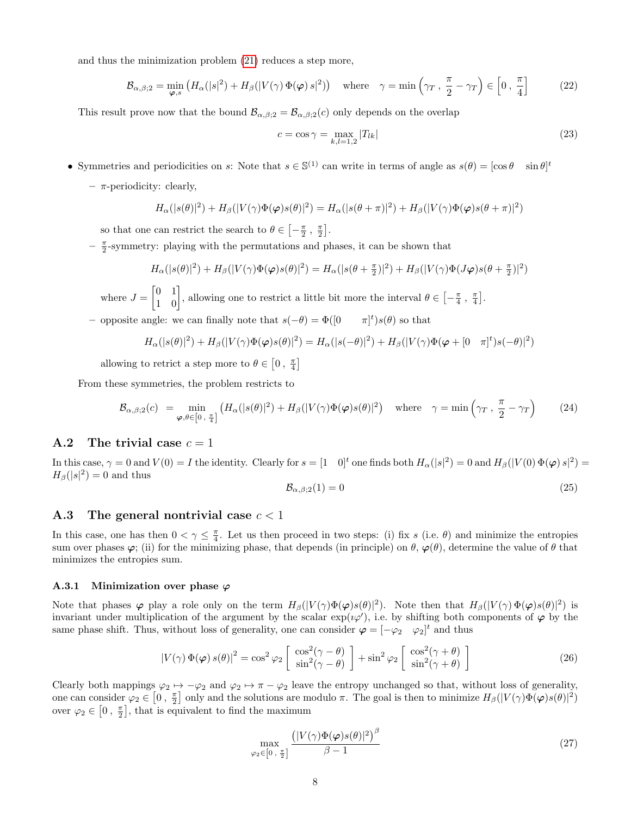and thus the minimization problem [\(21\)](#page-6-2) reduces a step more,

$$
\mathcal{B}_{\alpha,\beta;2} = \min_{\varphi,s} \left( H_{\alpha}(|s|^2) + H_{\beta}(|V(\gamma) \Phi(\varphi) s|^2) \right) \quad \text{where} \quad \gamma = \min \left( \gamma_T, \frac{\pi}{2} - \gamma_T \right) \in \left[ 0, \frac{\pi}{4} \right] \tag{22}
$$

This result prove now that the bound  $\mathcal{B}_{\alpha,\beta;2} = \mathcal{B}_{\alpha,\beta;2}(c)$  only depends on the overlap

$$
c = \cos \gamma = \max_{k,l=1,2} |T_{lk}| \tag{23}
$$

- Symmetries and periodicities on s: Note that  $s \in \mathbb{S}^{(1)}$  can write in terms of angle as  $s(\theta) = [\cos \theta \quad \sin \theta]$  $\sin \theta$ <sup>t</sup>
	- $\pi$ -periodicity: clearly,

$$
H_{\alpha}(|s(\theta)|^2) + H_{\beta}(|V(\gamma)\Phi(\varphi)s(\theta)|^2) = H_{\alpha}(|s(\theta + \pi)|^2) + H_{\beta}(|V(\gamma)\Phi(\varphi)s(\theta + \pi)|^2)
$$

so that one can restrict the search to  $\theta \in \left[-\frac{\pi}{2}, \frac{\pi}{2}\right]$ .

 $-\frac{\pi}{2}$ -symmetry: playing with the permutations and phases, it can be shown that

$$
H_{\alpha}(|s(\theta)|^2) + H_{\beta}(|V(\gamma)\Phi(\varphi)s(\theta)|^2) = H_{\alpha}(|s(\theta + \frac{\pi}{2})|^2) + H_{\beta}(|V(\gamma)\Phi(J\varphi)s(\theta + \frac{\pi}{2})|^2)
$$

where  $J = \begin{bmatrix} 0 & 1 \\ 1 & 0 \end{bmatrix}$ , allowing one to restrict a little bit more the interval  $\theta \in \begin{bmatrix} -\frac{\pi}{4}, \frac{\pi}{4} \end{bmatrix}$ .

– opposite angle: we can finally note that  $s(-θ) = \Phi((0 - π]^t) s(θ)$  so that

$$
H_{\alpha}(|s(\theta)|^2) + H_{\beta}(|V(\gamma)\Phi(\varphi)s(\theta)|^2) = H_{\alpha}(|s(-\theta)|^2) + H_{\beta}(|V(\gamma)\Phi(\varphi + [0 \quad \pi]^t)s(-\theta)|^2)
$$

allowing to retrict a step more to  $\theta \in \left[0\,,\,\frac{\pi}{4}\right]$ 

From these symmetries, the problem restricts to

<span id="page-7-0"></span>
$$
\mathcal{B}_{\alpha,\beta;2}(c) = \min_{\varphi,\theta \in [0,\frac{\pi}{4}]} \left( H_{\alpha}(|s(\theta)|^2) + H_{\beta}(|V(\gamma)\Phi(\varphi)s(\theta)|^2) \right) \quad \text{where} \quad \gamma = \min\left(\gamma_T, \frac{\pi}{2} - \gamma_T\right) \tag{24}
$$

#### A.2 The trivial case  $c = 1$

In this case,  $\gamma = 0$  and  $V(0) = I$  the identity. Clearly for  $s = \begin{bmatrix} 1 & 0 \end{bmatrix}^t$  one finds both  $H_\alpha(|s|^2) = 0$  and  $H_\beta(|V(0) \Phi(\varphi) s|^2) =$  $H_\beta(|s|^2) = 0$  and thus

$$
\mathcal{B}_{\alpha,\beta;2}(1) = 0\tag{25}
$$

# A.3 The general nontrivial case  $c < 1$

In this case, one has then  $0 < \gamma \leq \frac{\pi}{4}$ . Let us then proceed in two steps: (i) fix s (i.e.  $\theta$ ) and minimize the entropies sum over phases  $\varphi$ ; (ii) for the minimizing phase, that depends (in principle) on  $\theta$ ,  $\varphi(\theta)$ , determine the value of  $\theta$  that minimizes the entropies sum.

#### A.3.1 Minimization over phase  $\varphi$

Note that phases  $\varphi$  play a role only on the term  $H_\beta(|V(\gamma)\Phi(\varphi)s(\theta)|^2)$ . Note then that  $H_\beta(|V(\gamma)\Phi(\varphi)s(\theta)|^2)$  is invariant under multiplication of the argument by the scalar  $exp(\iota\varphi')$ , i.e. by shifting both components of  $\varphi$  by the same phase shift. Thus, without loss of generality, one can consider  $\varphi = [-\varphi_2 \quad \varphi_2]^t$  and thus

$$
|V(\gamma) \Phi(\varphi) s(\theta)|^2 = \cos^2 \varphi_2 \left[ \begin{array}{c} \cos^2(\gamma - \theta) \\ \sin^2(\gamma - \theta) \end{array} \right] + \sin^2 \varphi_2 \left[ \begin{array}{c} \cos^2(\gamma + \theta) \\ \sin^2(\gamma + \theta) \end{array} \right] \tag{26}
$$

Clearly both mappings  $\varphi_2 \mapsto -\varphi_2$  and  $\varphi_2 \mapsto \pi - \varphi_2$  leave the entropy unchanged so that, without loss of generality, one can consider  $\varphi_2 \in [0, \frac{\pi}{2}]$  only and the solutions are modulo  $\pi$ . The goal is then to minimize  $H_\beta(|V(\gamma)\Phi(\varphi)s(\theta)|^2)$ over  $\varphi_2 \in \left[0, \frac{\pi}{2}\right]$ , that is equivalent to find the maximum

$$
\max_{\varphi_2 \in [0, \frac{\pi}{2}]} \frac{\left(|V(\gamma) \Phi(\varphi) s(\theta)|^2\right)^{\beta}}{\beta - 1} \tag{27}
$$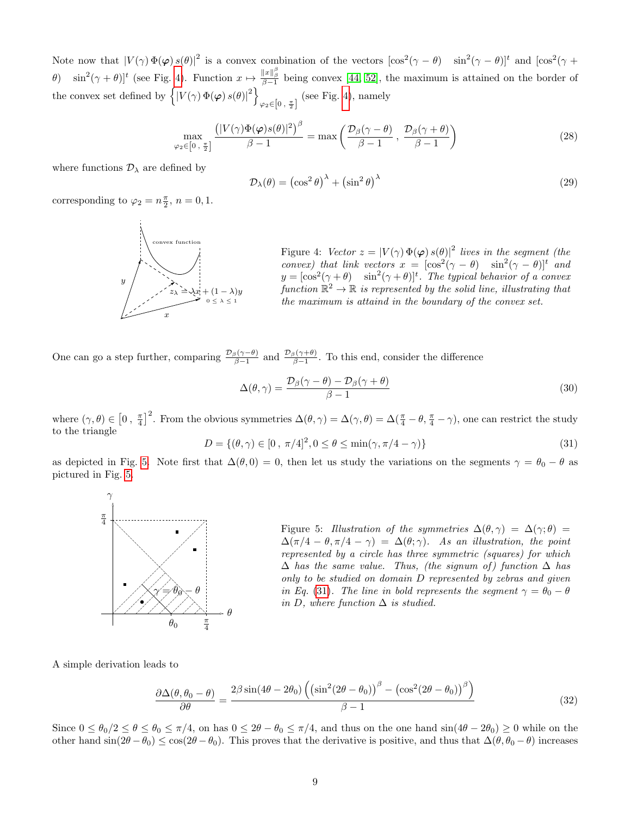Note now that  $|V(\gamma) \Phi(\varphi) s(\theta)|^2$  is a convex combination of the vectors  $[\cos^2(\gamma - \theta) \sin^2(\gamma - \theta)]^t$  and  $[\cos^2(\gamma +$  $\theta$ )  $\sin^2(\gamma + \theta)$ <sup>t</sup> (see Fig. [4\)](#page-8-0). Function  $x \mapsto \frac{\|x\|_{\beta}^{\beta}}{A-1}$  being convex [\[44,](#page-14-1) [52\]](#page-14-9), the maximum is attained on the border of the convex set defined by  $\left\{ |V(\gamma) \Phi(\varphi) s(\theta)|^2 \right\}$  $\varphi_2 \in [0, \frac{\pi}{2}]$  (see Fig. [4\)](#page-8-0), namely

$$
\max_{\varphi_2 \in [0, \frac{\pi}{2}]} \frac{\left(|V(\gamma)\Phi(\varphi)s(\theta)|^2\right)^{\beta}}{\beta - 1} = \max\left(\frac{\mathcal{D}_\beta(\gamma - \theta)}{\beta - 1}, \frac{\mathcal{D}_\beta(\gamma + \theta)}{\beta - 1}\right) \tag{28}
$$

where functions  $\mathcal{D}_{\lambda}$  are defined by

<span id="page-8-3"></span>
$$
\mathcal{D}_{\lambda}(\theta) = \left(\cos^2 \theta\right)^{\lambda} + \left(\sin^2 \theta\right)^{\lambda} \tag{29}
$$

corresponding to  $\varphi_2 = n\frac{\pi}{2}$ ,  $n = 0, 1$ .



<span id="page-8-0"></span>Figure 4: Vector  $z = |V(\gamma) \Phi(\varphi) s(\theta)|^2$  lives in the segment (the convex) that link vectors  $x = [\cos^2(\gamma - \theta) \sin^2(\gamma - \theta)]^t$  and  $y = [\cos^2(\gamma + \theta) \quad \sin^2(\gamma + \theta)]^t$ . The typical behavior of a convex function  $\mathbb{R}^2 \to \mathbb{R}$  is represented by the solid line, illustrating that the maximum is attaind in the boundary of the convex set.

One can go a step further, comparing  $\frac{\mathcal{D}_{\beta}(\gamma-\theta)}{\beta-1}$  and  $\frac{\mathcal{D}_{\beta}(\gamma+\theta)}{\beta-1}$ . To this end, consider the difference

$$
\Delta(\theta, \gamma) = \frac{\mathcal{D}_{\beta}(\gamma - \theta) - \mathcal{D}_{\beta}(\gamma + \theta)}{\beta - 1}
$$
\n(30)

where  $(\gamma, \theta) \in [0, \frac{\pi}{4}]^2$ . From the obvious symmetries  $\Delta(\theta, \gamma) = \Delta(\gamma, \theta) = \Delta(\frac{\pi}{4} - \theta, \frac{\pi}{4} - \gamma)$ , one can restrict the study to the triangle

<span id="page-8-2"></span>
$$
D = \{ (\theta, \gamma) \in [0, \pi/4]^2, 0 \le \theta \le \min(\gamma, \pi/4 - \gamma) \}
$$
\n(31)

as depicted in Fig. [5.](#page-8-1) Note first that  $\Delta(\theta, 0) = 0$ , then let us study the variations on the segments  $\gamma = \theta_0 - \theta$  as pictured in Fig. [5.](#page-8-1)



<span id="page-8-1"></span>Figure 5: Illustration of the symmetries  $\Delta(\theta, \gamma) = \Delta(\gamma; \theta)$  $\Delta(\pi/4 - \theta, \pi/4 - \gamma) = \Delta(\theta, \gamma)$ . As an illustration, the point represented by a circle has three symmetric (squares) for which  $\Delta$  has the same value. Thus, (the signum of) function  $\Delta$  has only to be studied on domain D represented by zebras and given in Eq. [\(31\)](#page-8-2). The line in bold represents the segment  $\gamma = \theta_0 - \theta$ in D, where function  $\Delta$  is studied.

A simple derivation leads to

$$
\frac{\partial \Delta(\theta, \theta_0 - \theta)}{\partial \theta} = \frac{2\beta \sin(4\theta - 2\theta_0) \left( \left(\sin^2(2\theta - \theta_0)\right)^\beta - \left(\cos^2(2\theta - \theta_0)\right)^\beta \right)}{\beta - 1} \tag{32}
$$

Since  $0 \le \theta_0/2 \le \theta \le \theta_0 \le \pi/4$ , on has  $0 \le 2\theta - \theta_0 \le \pi/4$ , and thus on the one hand  $\sin(4\theta - 2\theta_0) \ge 0$  while on the other hand  $\sin(2\theta - \theta_0) \le \cos(2\theta - \theta_0)$ . This proves that the derivative is positive, and thus that  $\Delta(\theta, \theta_0 - \theta)$  increases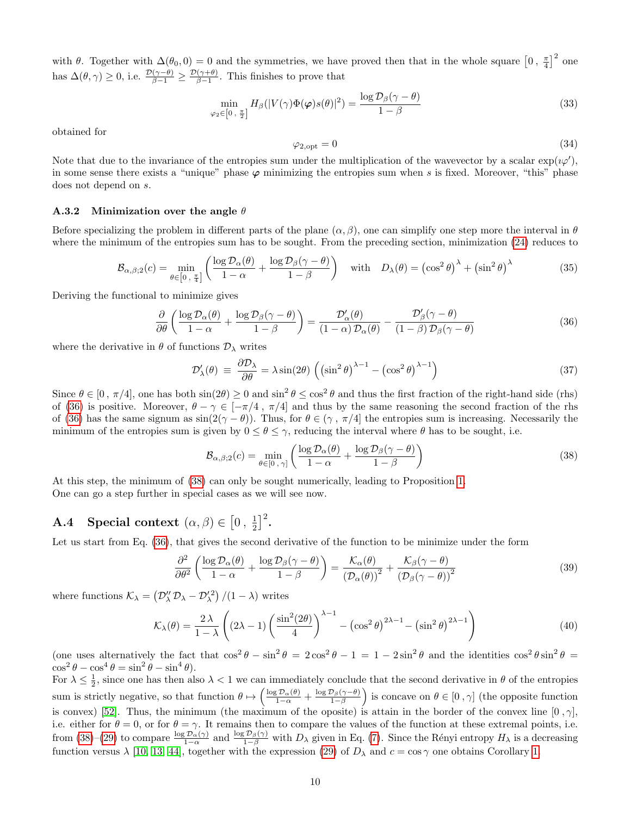with  $\theta$ . Together with  $\Delta(\theta_0, 0) = 0$  and the symmetries, we have proved then that in the whole square  $\left[0, \frac{\pi}{4}\right]^2$  one has  $\Delta(\theta, \gamma) \geq 0$ , i.e.  $\frac{\mathcal{D}(\gamma - \theta)}{\beta - 1} \geq \frac{\mathcal{D}(\gamma + \theta)}{\beta - 1}$  $\frac{(\gamma+\theta)}{\beta-1}$ . This finishes to prove that

$$
\min_{\varphi_2 \in [0, \frac{\pi}{2}]} H_{\beta}(|V(\gamma)\Phi(\varphi)s(\theta)|^2) = \frac{\log \mathcal{D}_{\beta}(\gamma - \theta)}{1 - \beta}
$$
\n(33)

obtained for

$$
\varphi_{2,\text{opt}} = 0 \tag{34}
$$

Note that due to the invariance of the entropies sum under the multiplication of the wavevector by a scalar  $\exp(i\varphi')$ , in some sense there exists a "unique" phase  $\varphi$  minimizing the entropies sum when s is fixed. Moreover, "this" phase does not depend on s.

#### A.3.2 Minimization over the angle  $\theta$

Before specializing the problem in different parts of the plane  $(\alpha, \beta)$ , one can simplify one step more the interval in  $\theta$ where the minimum of the entropies sum has to be sought. From the preceding section, minimization [\(24\)](#page-7-0) reduces to

$$
\mathcal{B}_{\alpha,\beta;2}(c) = \min_{\theta \in \left[0, \frac{\pi}{4}\right]} \left( \frac{\log \mathcal{D}_{\alpha}(\theta)}{1 - \alpha} + \frac{\log \mathcal{D}_{\beta}(\gamma - \theta)}{1 - \beta} \right) \quad \text{with} \quad D_{\lambda}(\theta) = \left(\cos^{2} \theta\right)^{\lambda} + \left(\sin^{2} \theta\right)^{\lambda} \tag{35}
$$

Deriving the functional to minimize gives

<span id="page-9-0"></span>
$$
\frac{\partial}{\partial \theta} \left( \frac{\log \mathcal{D}_{\alpha}(\theta)}{1 - \alpha} + \frac{\log \mathcal{D}_{\beta}(\gamma - \theta)}{1 - \beta} \right) = \frac{\mathcal{D}_{\alpha}'(\theta)}{(1 - \alpha)\mathcal{D}_{\alpha}(\theta)} - \frac{\mathcal{D}_{\beta}'(\gamma - \theta)}{(1 - \beta)\mathcal{D}_{\beta}(\gamma - \theta)} \tag{36}
$$

where the derivative in  $\theta$  of functions  $\mathcal{D}_{\lambda}$  writes

<span id="page-9-2"></span>
$$
\mathcal{D}'_{\lambda}(\theta) \equiv \frac{\partial \mathcal{D}_{\lambda}}{\partial \theta} = \lambda \sin(2\theta) \left( \left( \sin^2 \theta \right)^{\lambda - 1} - \left( \cos^2 \theta \right)^{\lambda - 1} \right) \tag{37}
$$

Since  $\theta \in [0, \pi/4]$ , one has both  $\sin(2\theta) \ge 0$  and  $\sin^2 \theta \le \cos^2 \theta$  and thus the first fraction of the right-hand side (rhs) of [\(36\)](#page-9-0) is positive. Moreover,  $\theta - \gamma \in [-\pi/4, \pi/4]$  and thus by the same reasoning the second fraction of the rhs of [\(36\)](#page-9-0) has the same signum as  $sin(2(\gamma - \theta))$ . Thus, for  $\theta \in (\gamma, \pi/4]$  the entropies sum is increasing. Necessarily the minimum of the entropies sum is given by  $0 \le \theta \le \gamma$ , reducing the interval where  $\theta$  has to be sought, i.e.

<span id="page-9-1"></span>
$$
\mathcal{B}_{\alpha,\beta;2}(c) = \min_{\theta \in [0,\,\gamma]} \left( \frac{\log \mathcal{D}_{\alpha}(\theta)}{1-\alpha} + \frac{\log \mathcal{D}_{\beta}(\gamma-\theta)}{1-\beta} \right) \tag{38}
$$

At this step, the minimum of [\(38\)](#page-9-1) can only be sought numerically, leading to Proposition [1.](#page-2-2) One can go a step further in special cases as we will see now.

#### **A.4** Special context  $(\alpha, \beta) \in [0, \frac{1}{2}]$  $\frac{1}{2}$ ]<sup>2</sup>.

Let us start from Eq. [\(36\)](#page-9-0), that gives the second derivative of the function to be minimize under the form

$$
\frac{\partial^2}{\partial \theta^2} \left( \frac{\log \mathcal{D}_\alpha(\theta)}{1 - \alpha} + \frac{\log \mathcal{D}_\beta(\gamma - \theta)}{1 - \beta} \right) = \frac{\mathcal{K}_\alpha(\theta)}{\left( \mathcal{D}_\alpha(\theta) \right)^2} + \frac{\mathcal{K}_\beta(\gamma - \theta)}{\left( \mathcal{D}_\beta(\gamma - \theta) \right)^2} \tag{39}
$$

where functions  $\mathcal{K}_{\lambda} = (\mathcal{D}_{\lambda}'' \mathcal{D}_{\lambda} - \mathcal{D}_{\lambda}'^2)/ (1 - \lambda)$  writes

$$
\mathcal{K}_{\lambda}(\theta) = \frac{2\lambda}{1-\lambda} \left( (2\lambda - 1) \left( \frac{\sin^2(2\theta)}{4} \right)^{\lambda - 1} - \left( \cos^2\theta \right)^{2\lambda - 1} - \left( \sin^2\theta \right)^{2\lambda - 1} \right) \tag{40}
$$

(one uses alternatively the fact that  $\cos^2 \theta - \sin^2 \theta = 2 \cos^2 \theta - 1 = 1 - 2 \sin^2 \theta$  and the identities  $\cos^2 \theta \sin^2 \theta =$  $\cos^2 \theta - \cos^4 \theta = \sin^2 \theta - \sin^4 \theta$ .

For  $\lambda \leq \frac{1}{2}$ , since one has then also  $\lambda < 1$  we can immediately conclude that the second derivative in  $\theta$  of the entropies sum is strictly negative, so that function  $\theta \mapsto \left( \frac{\log \mathcal{D}_{\alpha}(\theta)}{1-\alpha} + \frac{\log \mathcal{D}_{\beta}(\gamma-\theta)}{1-\beta} \right)$  is concave on  $\theta \in [0,\gamma]$  (the opposite function is convex) [\[52\]](#page-14-9). Thus, the minimum (the maximum of the oposite) is attain in the border of the convex line  $[0, \gamma]$ , i.e. either for  $\theta = 0$ , or for  $\theta = \gamma$ . It remains then to compare the values of the function at these extremal points, i.e. from [\(38\)](#page-9-1)–[\(29\)](#page-8-3) to compare  $\frac{\log \mathcal{D}_{\alpha}(\gamma)}{1-\alpha}$  and  $\frac{\log \mathcal{D}_{\beta}(\gamma)}{1-\beta}$  with  $D_{\lambda}$  given in Eq. [\(7\)](#page-2-2). Since the Rényi entropy  $H_{\lambda}$  is a decreasing function versus  $\lambda$  [\[10,](#page-12-5) [13,](#page-12-8) [44\]](#page-14-1), together with the expression [\(29\)](#page-8-3) of  $D_{\lambda}$  and  $c = \cos \gamma$  one obtains Corollary [1.](#page-3-1)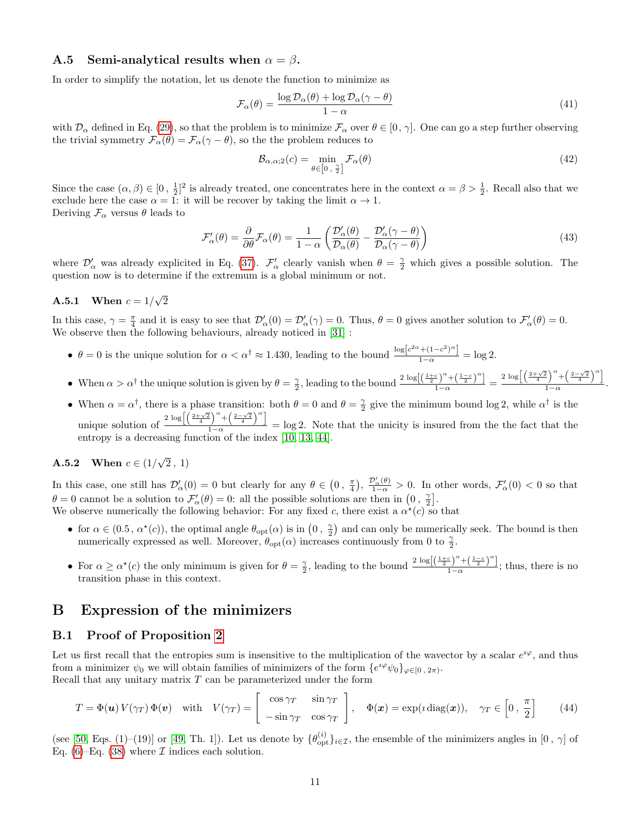## A.5 Semi-analytical results when  $\alpha = \beta$ .

In order to simplify the notation, let us denote the function to minimize as

$$
\mathcal{F}_{\alpha}(\theta) = \frac{\log \mathcal{D}_{\alpha}(\theta) + \log \mathcal{D}_{\alpha}(\gamma - \theta)}{1 - \alpha} \tag{41}
$$

with  $\mathcal{D}_{\alpha}$  defined in Eq. [\(29\)](#page-8-3), so that the problem is to minimize  $\mathcal{F}_{\alpha}$  over  $\theta \in [0, \gamma]$ . One can go a step further observing the trivial symmetry  $\mathcal{F}_{\alpha}(\theta) = \mathcal{F}_{\alpha}(\gamma - \theta)$ , so the the problem reduces to

$$
\mathcal{B}_{\alpha,\alpha;2}(c) = \min_{\theta \in [0, \frac{\gamma}{2}]} \mathcal{F}_{\alpha}(\theta)
$$
\n(42)

.

Since the case  $(\alpha, \beta) \in [0, \frac{1}{2}]^2$  is already treated, one concentrates here in the context  $\alpha = \beta > \frac{1}{2}$ . Recall also that we exclude here the case  $\alpha = 1$ : it will be recover by taking the limit  $\alpha \to 1$ . Deriving  $\mathcal{F}_{\alpha}$  versus  $\theta$  leads to

$$
\mathcal{F}'_{\alpha}(\theta) = \frac{\partial}{\partial \theta} \mathcal{F}_{\alpha}(\theta) = \frac{1}{1 - \alpha} \left( \frac{\mathcal{D}'_{\alpha}(\theta)}{\mathcal{D}_{\alpha}(\theta)} - \frac{\mathcal{D}'_{\alpha}(\gamma - \theta)}{\mathcal{D}_{\alpha}(\gamma - \theta)} \right)
$$
(43)

where  $\mathcal{D}'_{\alpha}$  was already explicited in Eq. [\(37\)](#page-9-2).  $\mathcal{F}'_{\alpha}$  clearly vanish when  $\theta = \frac{\gamma}{2}$  which gives a possible solution. The question now is to determine if the extremum is a global minimum or not.

#### $\mathbf{A.5.1} \quad \textbf{When } c = 1/$ √ 2

In this case,  $\gamma = \frac{\pi}{4}$  and it is easy to see that  $\mathcal{D}'_{\alpha}(0) = \mathcal{D}'_{\alpha}(\gamma) = 0$ . Thus,  $\theta = 0$  gives another solution to  $\mathcal{F}'_{\alpha}(\theta) = 0$ . We observe then the following behaviours, already noticed in [\[31\]](#page-13-9) :

- $\theta = 0$  is the unique solution for  $\alpha < \alpha^{\dagger} \approx 1.430$ , leading to the bound  $\frac{\log [c^{2\alpha} + (1-c^2)^{\alpha}]}{1-\alpha} = \log 2$ .
- When  $\alpha > \alpha^{\dagger}$  the unique solution is given by  $\theta = \frac{\gamma}{2}$ , leading to the bound  $\frac{2 \log\left[\left(\frac{1+c}{2}\right)^{\alpha} + \left(\frac{1-c}{2}\right)^{\alpha}\right]}{1-\alpha}$  $2 \log \left[ \left( \frac{2+\sqrt{2}}{4} \right)^{\alpha} + \left( \frac{2-\sqrt{2}}{4} \right)^{\alpha} \right]$  $1-\alpha$
- When  $\alpha = \alpha^{\dagger}$ , there is a phase transition: both  $\theta = 0$  and  $\theta = \frac{\gamma}{2}$  give the minimum bound log 2, while  $\alpha^{\dagger}$  is the unique solution of  $2 \log \left[ \left( \frac{2+\sqrt{2}}{4} \right)^{\alpha} + \left( \frac{2-\sqrt{2}}{4} \right)^{\alpha} \right]$  $\frac{1}{1-\alpha}$  = log 2. Note that the unicity is insured from the the fact that the entropy is a decreasing function of the index [\[10,](#page-12-5) [13,](#page-12-8) [44\]](#page-14-1).

**A.5.2** When  $c \in (1/$ √  $2, 1)$ 

In this case, one still has  $\mathcal{D}'_{\alpha}(0) = 0$  but clearly for any  $\theta \in (0, \frac{\pi}{4}), \frac{\mathcal{D}'_{\alpha}(\theta)}{1-\alpha} > 0$ . In other words,  $\mathcal{F}'_{\alpha}(0) < 0$  so that  $\theta = 0$  cannot be a solution to  $\mathcal{F}'_{\alpha}(\theta) = 0$ : all the possible solutions are then in  $(0, \frac{\gamma}{2}]$ . We observe numerically the following behavior: For any fixed c, there exist a  $\alpha^*(c)$  so that

- for  $\alpha \in (0.5, \alpha^*(c))$ , the optimal angle  $\theta_{\text{opt}}(\alpha)$  is in  $(0, \frac{\gamma}{2})$  and can only be numerically seek. The bound is then numerically expressed as well. Moreover,  $\theta_{opt}(\alpha)$  increases continuously from 0 to  $\frac{\gamma}{2}$ .
- For  $\alpha \ge \alpha^*(c)$  the only minimum is given for  $\theta = \frac{\gamma}{2}$ , leading to the bound  $\frac{2 \log[(\frac{1+c}{2})^{\alpha} + (\frac{1-c}{2})^{\alpha}]}{1-\alpha}$  $\frac{1-\alpha}{1-\alpha}$ ; thus, there is no transition phase in this context.

# B Expression of the minimizers

#### B.1 Proof of Proposition [2](#page-3-0)

Let us first recall that the entropies sum is insensitive to the multiplication of the wavector by a scalar  $e^{i\varphi}$ , and thus from a minimizer  $\psi_0$  we will obtain families of minimizers of the form  $\{e^{i\varphi}\psi_0\}_{\varphi\in[0, 2\pi)}$ .

Recall that any unitary matrix  $T$  can be parameterized under the form

$$
T = \Phi(\mathbf{u}) V(\gamma_T) \Phi(\mathbf{v}) \quad \text{with} \quad V(\gamma_T) = \begin{bmatrix} \cos \gamma_T & \sin \gamma_T \\ -\sin \gamma_T & \cos \gamma_T \end{bmatrix}, \quad \Phi(\mathbf{x}) = \exp(\imath \operatorname{diag}(\mathbf{x})), \quad \gamma_T \in \begin{bmatrix} 0 \\ 0 \\ 0 \end{bmatrix}
$$
 (44)

(see [\[50,](#page-14-7) Eqs. (1)–(19)] or [\[49,](#page-14-6) Th. 1]). Let us denote by  $\{\theta_{\text{opt}}^{(i)}\}_{i\in\mathcal{I}}$ , the ensemble of the minimizers angles in [0,  $\gamma$ ] of Eq. [\(6\)](#page-2-3)–Eq. [\(38\)](#page-9-1) where  $\mathcal I$  indices each solution.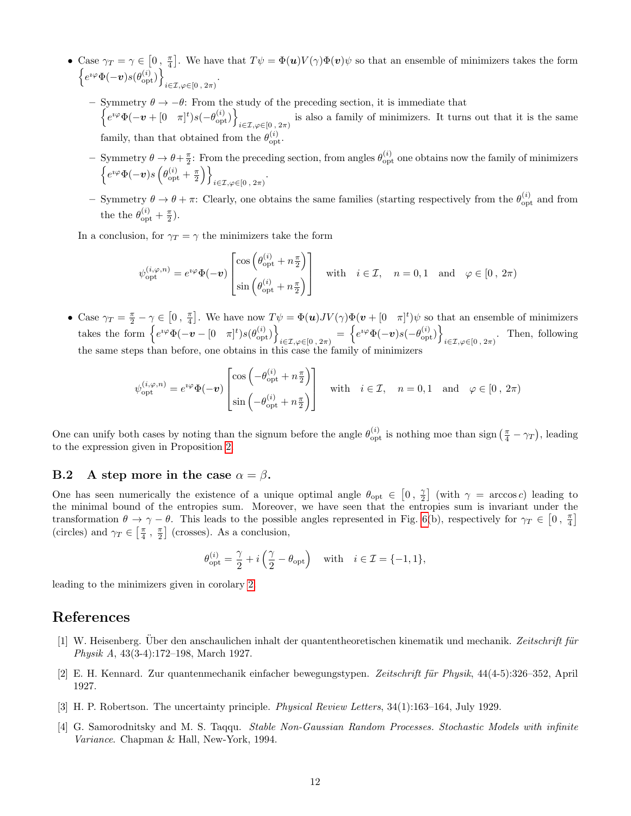- Case  $\gamma_T = \gamma \in [0, \frac{\pi}{4}]$ . We have that  $T\psi = \Phi(u)V(\gamma)\Phi(v)\psi$  so that an ensemble of minimizers takes the form  $\left\{e^{i\varphi}\Phi(-\bm{v})s(\theta_{\rm opt}^{(i)})\right\}_{i=1}^4$  $\sum_{i\in\mathcal{I},\varphi\in[0\,,\,2\pi)}$ .
	- Symmetry θ → −θ: From the study of the preceding section, it is immediate that  $\left\{e^{i\varphi}\Phi(-\boldsymbol{v}+[\mathbf{0} \quad \pi]^t)s(-\theta_{\rm opt}^{(i)})\right\}$  $i\in\mathcal{I},\varphi\in[0,2\pi)$  is also a family of minimizers. It turns out that it is the same family, than that obtained from the  $\theta_{\rm opt}^{(i)}$ .
	- $-$  Symmetry  $\theta \to \theta + \frac{\pi}{2}$ : From the preceding section, from angles  $\theta_{opt}^{(i)}$  one obtains now the family of minimizers  $\left\{e^{\imath \varphi} \Phi(-\boldsymbol{v}) s\left(\theta_{\mathrm{opt}}^{(i)}+\frac{\pi}{2}\right)\right\}$  $\sum_{i\in\mathcal{I},\varphi\in[0\,,\,2\pi)}$ .
	- Symmetry  $\theta \to \theta + \pi$ : Clearly, one obtains the same families (starting respectively from the  $\theta_{\text{opt}}^{(i)}$  and from the the  $\theta_{opt}^{(i)} + \frac{\pi}{2}$ .

In a conclusion, for  $\gamma_T = \gamma$  the minimizers take the form

$$
\psi_{\text{opt}}^{(i,\varphi,n)} = e^{i\varphi}\Phi(-v) \begin{bmatrix} \cos\left(\theta_{\text{opt}}^{(i)} + n\frac{\pi}{2}\right) \\ \sin\left(\theta_{\text{opt}}^{(i)} + n\frac{\pi}{2}\right) \end{bmatrix} \quad \text{with} \quad i \in \mathcal{I}, \quad n = 0,1 \quad \text{and} \quad \varphi \in [0, 2\pi)
$$

• Case  $\gamma_T = \frac{\pi}{2} - \gamma \in [0, \frac{\pi}{4}]$ . We have now  $T\psi = \Phi(u)JV(\gamma)\Phi(v + [0, \pi]^t)\psi$  so that an ensemble of minimizers takes the form  $\left\{e^{i\varphi}\Phi(-\boldsymbol{v}-\left[0\quad\pi\right]^t)s(\theta_{\text{opt}}^{(i)})\right\}$  $\begin{aligned} \hat{e}_{i\in\mathcal{I},\varphi\in[0\,,\,2\pi)}=\,\Big\{e^{\imath\varphi}\Phi(-\bm{v})s(-\theta_{\rm opt}^{(i)})\Big\}, \end{aligned}$  $\sum_{i\in\mathcal{I},\varphi\in[0,2\pi)}$ . Then, following the same steps than before, one obtains in this case the family of minimizers

$$
\psi_{\text{opt}}^{(i,\varphi,n)} = e^{i\varphi}\Phi(-\boldsymbol{v}) \begin{bmatrix} \cos\left(-\theta_{\text{opt}}^{(i)} + n\frac{\pi}{2}\right) \\ \sin\left(-\theta_{\text{opt}}^{(i)} + n\frac{\pi}{2}\right) \end{bmatrix} \quad \text{with} \quad i \in \mathcal{I}, \quad n = 0,1 \quad \text{and} \quad \varphi \in [0, 2\pi)
$$

One can unify both cases by noting than the signum before the angle  $\theta_{\text{opt}}^{(i)}$  is nothing moe than sign  $(\frac{\pi}{4} - \gamma_T)$ , leading to the expression given in Proposition [2.](#page-3-0)

## B.2 A step more in the case  $\alpha = \beta$ .

One has seen numerically the existence of a unique optimal angle  $\theta_{opt} \in [0, \frac{\gamma}{2}]$  (with  $\gamma = \arccos c$ ) leading to the minimal bound of the entropies sum. Moreover, we have seen that the entropies sum is invariant under the transformation  $\theta \to \gamma - \theta$ . This leads to the possible angles represented in Fig. [6\(](#page-12-17)b), respectively for  $\gamma_T \in [0, \frac{\pi}{4}]$ (circles) and  $\gamma_T \in \left[\frac{\pi}{4}, \frac{\pi}{2}\right]$  (crosses). As a conclusion,

$$
\theta_{\text{opt}}^{(i)} = \frac{\gamma}{2} + i\left(\frac{\gamma}{2} - \theta_{\text{opt}}\right) \quad \text{with} \quad i \in \mathcal{I} = \{-1, 1\},
$$

leading to the minimizers given in corolary [2.](#page-4-1)

# References

- <span id="page-11-0"></span>[1] W. Heisenberg. Über den anschaulichen inhalt der quantentheoretischen kinematik und mechanik. Zeitschrift für Physik A, 43(3-4):172–198, March 1927.
- <span id="page-11-1"></span>[2] E. H. Kennard. Zur quantenmechanik einfacher bewegungstypen. Zeitschrift für Physik, 44(4-5):326–352, April 1927.
- <span id="page-11-2"></span>[3] H. P. Robertson. The uncertainty principle. Physical Review Letters, 34(1):163–164, July 1929.
- <span id="page-11-3"></span>[4] G. Samorodnitsky and M. S. Taqqu. Stable Non-Gaussian Random Processes. Stochastic Models with infinite Variance. Chapman & Hall, New-York, 1994.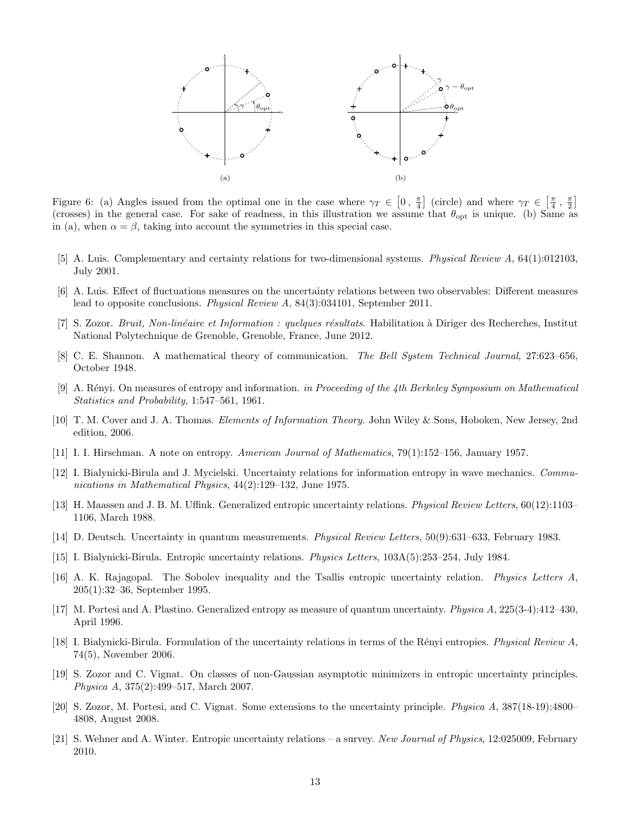

<span id="page-12-17"></span>Figure 6: (a) Angles issued from the optimal one in the case where  $\gamma_T \in \left[0, \frac{\pi}{4}\right]$  (circle) and where  $\gamma_T \in \left[\frac{\pi}{4}, \frac{\pi}{2}\right]$ (crosses) in the general case. For sake of readness, in this illustration we assume that  $\theta_{\rm opt}$  is unique. (b) Same as in (a), when  $\alpha = \beta$ , taking into account the symmetries in this special case.

- <span id="page-12-0"></span>[5] A. Luis. Complementary and certainty relations for two-dimensional systems. Physical Review A, 64(1):012103, July 2001.
- <span id="page-12-1"></span>[6] A. Luis. Effect of fluctuations measures on the uncertainty relations between two observables: Different measures lead to opposite conclusions. Physical Review A, 84(3):034101, September 2011.
- <span id="page-12-2"></span>[7] S. Zozor. Bruit, Non-linéaire et Information : quelques résultats. Habilitation à Diriger des Recherches, Institut National Polytechnique de Grenoble, Grenoble, France, June 2012.
- <span id="page-12-3"></span>[8] C. E. Shannon. A mathematical theory of communication. The Bell System Technical Journal, 27:623–656, October 1948.
- <span id="page-12-4"></span>[9] A. Rényi. On measures of entropy and information. in Proceeding of the 4th Berkeley Symposium on Mathematical Statistics and Probability, 1:547–561, 1961.
- <span id="page-12-5"></span>[10] T. M. Cover and J. A. Thomas. Elements of Information Theory. John Wiley & Sons, Hoboken, New Jersey, 2nd edition, 2006.
- <span id="page-12-6"></span>[11] I. I. Hirschman. A note on entropy. American Journal of Mathematics, 79(1):152–156, January 1957.
- <span id="page-12-7"></span>[12] I. Bialynicki-Birula and J. Mycielski. Uncertainty relations for information entropy in wave mechanics. Communications in Mathematical Physics, 44(2):129–132, June 1975.
- <span id="page-12-8"></span>[13] H. Maassen and J. B. M. Uffink. Generalized entropic uncertainty relations. Physical Review Letters, 60(12):1103– 1106, March 1988.
- <span id="page-12-9"></span>[14] D. Deutsch. Uncertainty in quantum measurements. Physical Review Letters, 50(9):631–633, February 1983.
- <span id="page-12-10"></span>[15] I. Bialynicki-Birula. Entropic uncertainty relations. Physics Letters, 103A(5):253–254, July 1984.
- <span id="page-12-11"></span>[16] A. K. Rajagopal. The Sobolev inequality and the Tsallis entropic uncertainty relation. Physics Letters A, 205(1):32–36, September 1995.
- <span id="page-12-12"></span>[17] M. Portesi and A. Plastino. Generalized entropy as measure of quantum uncertainty. Physica A, 225(3-4):412–430, April 1996.
- <span id="page-12-13"></span>[18] I. Bialynicki-Birula. Formulation of the uncertainty relations in terms of the Rényi entropies. *Physical Review A*, 74(5), November 2006.
- <span id="page-12-14"></span>[19] S. Zozor and C. Vignat. On classes of non-Gaussian asymptotic minimizers in entropic uncertainty principles. Physica A, 375(2):499–517, March 2007.
- <span id="page-12-15"></span>[20] S. Zozor, M. Portesi, and C. Vignat. Some extensions to the uncertainty principle. Physica A, 387(18-19):4800– 4808, August 2008.
- <span id="page-12-16"></span>[21] S. Wehner and A. Winter. Entropic uncertainty relations – a survey. New Journal of Physics, 12:025009, February 2010.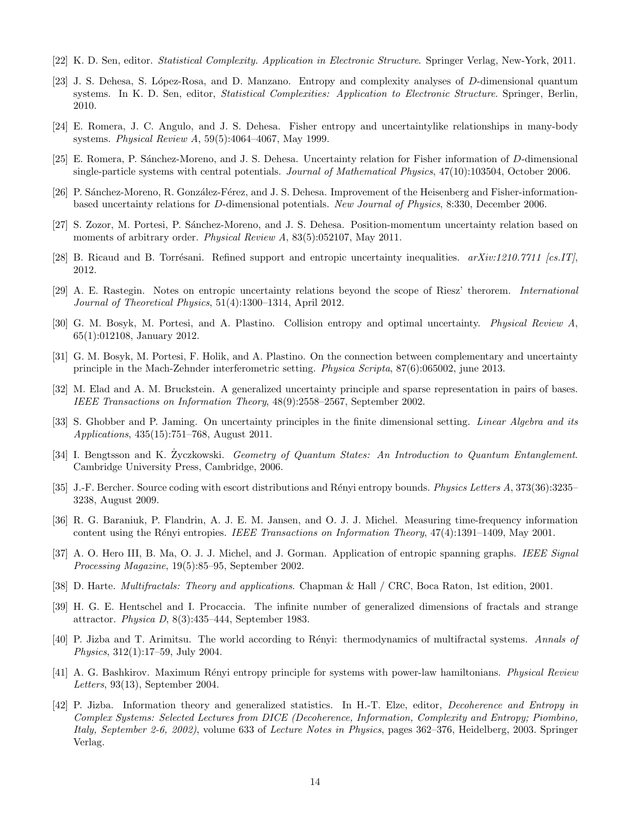- <span id="page-13-0"></span>[22] K. D. Sen, editor. Statistical Complexity. Application in Electronic Structure. Springer Verlag, New-York, 2011.
- <span id="page-13-1"></span>[23] J. S. Dehesa, S. López-Rosa, and D. Manzano. Entropy and complexity analyses of D-dimensional quantum systems. In K. D. Sen, editor, *Statistical Complexities: Application to Electronic Structure*. Springer, Berlin, 2010.
- <span id="page-13-2"></span>[24] E. Romera, J. C. Angulo, and J. S. Dehesa. Fisher entropy and uncertaintylike relationships in many-body systems. Physical Review A, 59(5):4064–4067, May 1999.
- <span id="page-13-3"></span>[25] E. Romera, P. Sánchez-Moreno, and J. S. Dehesa. Uncertainty relation for Fisher information of D-dimensional single-particle systems with central potentials. Journal of Mathematical Physics, 47(10):103504, October 2006.
- <span id="page-13-4"></span>[26] P. Sánchez-Moreno, R. González-Férez, and J. S. Dehesa. Improvement of the Heisenberg and Fisher-informationbased uncertainty relations for D-dimensional potentials. New Journal of Physics, 8:330, December 2006.
- <span id="page-13-5"></span>[27] S. Zozor, M. Portesi, P. S´anchez-Moreno, and J. S. Dehesa. Position-momentum uncertainty relation based on moments of arbitrary order. *Physical Review A*,  $83(5):052107$ , May 2011.
- <span id="page-13-6"></span>[28] B. Ricaud and B. Torrésani. Refined support and entropic uncertainty inequalities.  $arXiv:1210.7711$  [cs.IT], 2012.
- <span id="page-13-7"></span>[29] A. E. Rastegin. Notes on entropic uncertainty relations beyond the scope of Riesz' therorem. International Journal of Theoretical Physics, 51(4):1300–1314, April 2012.
- <span id="page-13-8"></span>[30] G. M. Bosyk, M. Portesi, and A. Plastino. Collision entropy and optimal uncertainty. Physical Review A, 65(1):012108, January 2012.
- <span id="page-13-9"></span>[31] G. M. Bosyk, M. Portesi, F. Holik, and A. Plastino. On the connection between complementary and uncertainty principle in the Mach-Zehnder interferometric setting. Physica Scripta, 87(6):065002, june 2013.
- <span id="page-13-10"></span>[32] M. Elad and A. M. Bruckstein. A generalized uncertainty principle and sparse representation in pairs of bases. IEEE Transactions on Information Theory, 48(9):2558–2567, September 2002.
- <span id="page-13-11"></span>[33] S. Ghobber and P. Jaming. On uncertainty principles in the finite dimensional setting. Linear Algebra and its Applications, 435(15):751–768, August 2011.
- <span id="page-13-12"></span>[34] I. Bengtsson and K. Zyczkowski. Geometry of Quantum States: An Introduction to Quantum Entanglement. Cambridge University Press, Cambridge, 2006.
- <span id="page-13-13"></span>[35] J.-F. Bercher. Source coding with escort distributions and Rényi entropy bounds. Physics Letters A, 373(36):3235– 3238, August 2009.
- <span id="page-13-14"></span>[36] R. G. Baraniuk, P. Flandrin, A. J. E. M. Jansen, and O. J. J. Michel. Measuring time-frequency information content using the Rényi entropies. IEEE Transactions on Information Theory, 47(4):1391–1409, May 2001.
- <span id="page-13-15"></span>[37] A. O. Hero III, B. Ma, O. J. J. Michel, and J. Gorman. Application of entropic spanning graphs. IEEE Signal Processing Magazine, 19(5):85–95, September 2002.
- <span id="page-13-16"></span>[38] D. Harte. *Multifractals: Theory and applications*. Chapman & Hall / CRC, Boca Raton, 1st edition, 2001.
- <span id="page-13-17"></span>[39] H. G. E. Hentschel and I. Procaccia. The infinite number of generalized dimensions of fractals and strange attractor. Physica D, 8(3):435–444, September 1983.
- <span id="page-13-18"></span>[40] P. Jizba and T. Arimitsu. The world according to Rényi: thermodynamics of multifractal systems. Annals of Physics, 312(1):17–59, July 2004.
- <span id="page-13-19"></span>[41] A. G. Bashkirov. Maximum Rényi entropy principle for systems with power-law hamiltonians. Physical Review Letters, 93(13), September 2004.
- <span id="page-13-20"></span>[42] P. Jizba. Information theory and generalized statistics. In H.-T. Elze, editor, Decoherence and Entropy in Complex Systems: Selected Lectures from DICE (Decoherence, Information, Complexity and Entropy; Piombino, Italy, September 2-6, 2002), volume 633 of Lecture Notes in Physics, pages 362–376, Heidelberg, 2003. Springer Verlag.